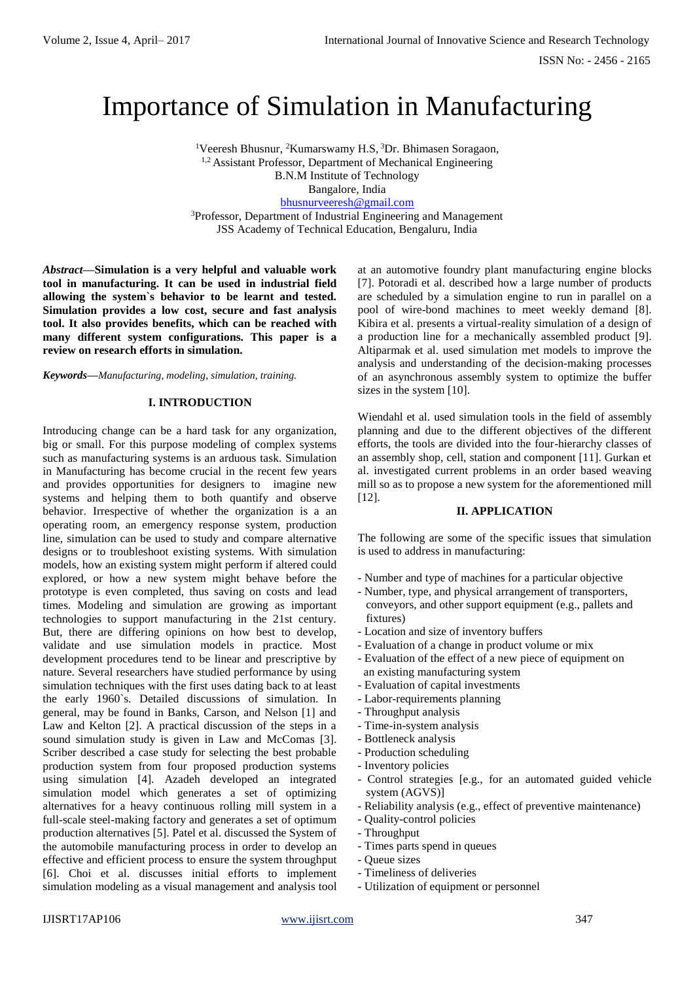# Importance of Simulation in Manufacturing

<sup>1</sup>Veeresh Bhusnur, <sup>2</sup>Kumarswamy H.S, <sup>3</sup>Dr. Bhimasen Soragaon, <sup>1,2</sup> Assistant Professor, Department of Mechanical Engineering B.N.M Institute of Technology Bangalore, India [bhusnurveeresh@gmail.com](mailto:bhusnurveeresh@gmail.com) <sup>3</sup>Professor, Department of Industrial Engineering and Management JSS Academy of Technical Education, Bengaluru, India

*Abstract***—Simulation is a very helpful and valuable work tool in manufacturing. It can be used in industrial field allowing the system`s behavior to be learnt and tested. Simulation provides a low cost, secure and fast analysis tool. It also provides benefits, which can be reached with many different system configurations. This paper is a review on research efforts in simulation.**

*Keywords***—***Manufacturing, modeling, simulation, training.*

#### **I. INTRODUCTION**

Introducing change can be a hard task for any organization, big or small. For this purpose modeling of complex systems such as manufacturing systems is an arduous task. Simulation in Manufacturing has become crucial in the recent few years and provides opportunities for designers to imagine new systems and helping them to both quantify and observe behavior. Irrespective of whether the organization is a an operating room, an emergency response system, production line, simulation can be used to study and compare alternative designs or to troubleshoot existing systems. With simulation models, how an existing system might perform if altered could explored, or how a new system might behave before the prototype is even completed, thus saving on costs and lead times. Modeling and simulation are growing as important technologies to support manufacturing in the 21st century. But, there are differing opinions on how best to develop, validate and use simulation models in practice. Most development procedures tend to be linear and prescriptive by nature. Several researchers have studied performance by using simulation techniques with the first uses dating back to at least the early 1960`s. Detailed discussions of simulation. In general, may be found in Banks, Carson, and Nelson [1] and Law and Kelton [2]. A practical discussion of the steps in a sound simulation study is given in Law and McComas [3]. Scriber described a case study for selecting the best probable production system from four proposed production systems using simulation [4]. Azadeh developed an integrated simulation model which generates a set of optimizing alternatives for a heavy continuous rolling mill system in a full-scale steel-making factory and generates a set of optimum production alternatives [5]. Patel et al. discussed the System of the automobile manufacturing process in order to develop an effective and efficient process to ensure the system throughput [6]. Choi et al. discusses initial efforts to implement simulation modeling as a visual management and analysis tool at an automotive foundry plant manufacturing engine blocks [7]. Potoradi et al. described how a large number of products are scheduled by a simulation engine to run in parallel on a pool of wire-bond machines to meet weekly demand [8]. Kibira et al. presents a virtual-reality simulation of a design of a production line for a mechanically assembled product [9]. Altiparmak et al. used simulation met models to improve the analysis and understanding of the decision-making processes of an asynchronous assembly system to optimize the buffer sizes in the system [10].

Wiendahl et al. used simulation tools in the field of assembly planning and due to the different objectives of the different efforts, the tools are divided into the four-hierarchy classes of an assembly shop, cell, station and component [11]. Gurkan et al. investigated current problems in an order based weaving mill so as to propose a new system for the aforementioned mill [12].

#### **II. APPLICATION**

The following are some of the specific issues that simulation is used to address in manufacturing:

- Number and type of machines for a particular objective
- Number, type, and physical arrangement of transporters, conveyors, and other support equipment (e.g., pallets and fixtures)
- Location and size of inventory buffers
- Evaluation of a change in product volume or mix
- Evaluation of the effect of a new piece of equipment on an existing manufacturing system
- Evaluation of capital investments
- Labor-requirements planning
- Throughput analysis
- Time-in-system analysis
- Bottleneck analysis
- Production scheduling
- Inventory policies
- Control strategies [e.g., for an automated guided vehicle system (AGVS)]
- Reliability analysis (e.g., effect of preventive maintenance)
- Quality-control policies
- Throughput
- Times parts spend in queues
- Queue sizes
- Timeliness of deliveries
- Utilization of equipment or personnel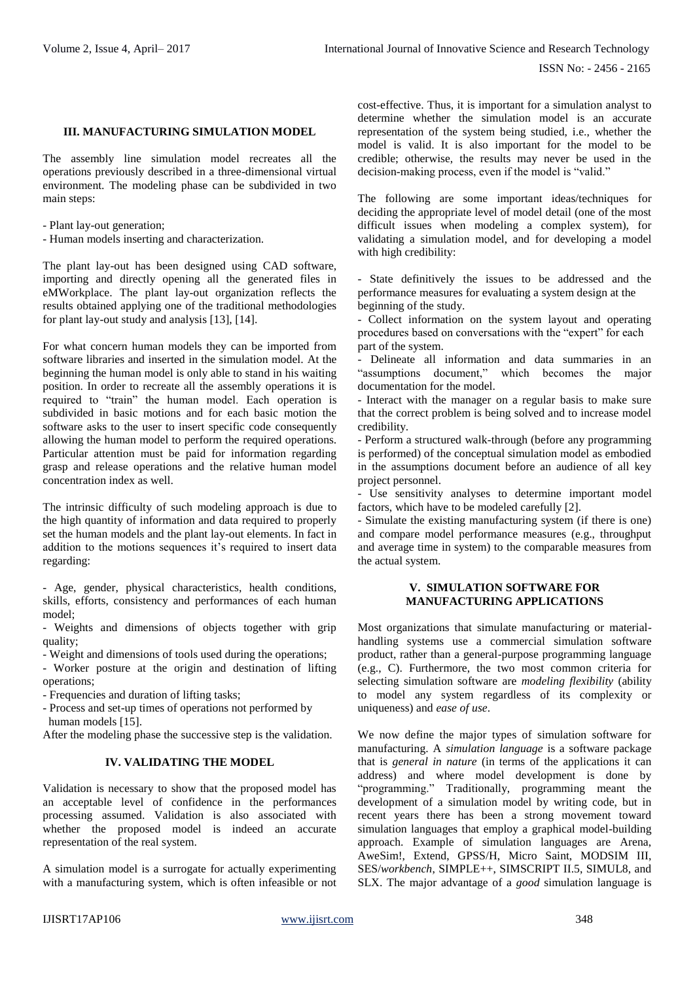#### **III. MANUFACTURING SIMULATION MODEL**

The assembly line simulation model recreates all the operations previously described in a three-dimensional virtual environment. The modeling phase can be subdivided in two main steps:

- Plant lay-out generation;

- Human models inserting and characterization.

The plant lay-out has been designed using CAD software, importing and directly opening all the generated files in eMWorkplace. The plant lay-out organization reflects the results obtained applying one of the traditional methodologies for plant lay-out study and analysis [13], [14].

For what concern human models they can be imported from software libraries and inserted in the simulation model. At the beginning the human model is only able to stand in his waiting position. In order to recreate all the assembly operations it is required to "train" the human model. Each operation is subdivided in basic motions and for each basic motion the software asks to the user to insert specific code consequently allowing the human model to perform the required operations. Particular attention must be paid for information regarding grasp and release operations and the relative human model concentration index as well.

The intrinsic difficulty of such modeling approach is due to the high quantity of information and data required to properly set the human models and the plant lay-out elements. In fact in addition to the motions sequences it's required to insert data regarding:

- Age, gender, physical characteristics, health conditions, skills, efforts, consistency and performances of each human model;

- Weights and dimensions of objects together with grip quality;

- Weight and dimensions of tools used during the operations;

- Worker posture at the origin and destination of lifting operations;

- Frequencies and duration of lifting tasks;

- Process and set-up times of operations not performed by human models [15].

After the modeling phase the successive step is the validation.

#### **IV. VALIDATING THE MODEL**

Validation is necessary to show that the proposed model has an acceptable level of confidence in the performances processing assumed. Validation is also associated with whether the proposed model is indeed an accurate representation of the real system.

A simulation model is a surrogate for actually experimenting with a manufacturing system, which is often infeasible or not

cost-effective. Thus, it is important for a simulation analyst to determine whether the simulation model is an accurate representation of the system being studied, i.e., whether the model is valid. It is also important for the model to be credible; otherwise, the results may never be used in the decision-making process, even if the model is "valid."

The following are some important ideas/techniques for deciding the appropriate level of model detail (one of the most difficult issues when modeling a complex system), for validating a simulation model, and for developing a model with high credibility:

- State definitively the issues to be addressed and the performance measures for evaluating a system design at the beginning of the study.

- Collect information on the system layout and operating procedures based on conversations with the "expert" for each part of the system.

- Delineate all information and data summaries in an "assumptions document," which becomes the major documentation for the model.

- Interact with the manager on a regular basis to make sure that the correct problem is being solved and to increase model credibility.

- Perform a structured walk-through (before any programming is performed) of the conceptual simulation model as embodied in the assumptions document before an audience of all key project personnel.

- Use sensitivity analyses to determine important model factors, which have to be modeled carefully [2].

- Simulate the existing manufacturing system (if there is one) and compare model performance measures (e.g., throughput and average time in system) to the comparable measures from the actual system.

#### **V. SIMULATION SOFTWARE FOR MANUFACTURING APPLICATIONS**

Most organizations that simulate manufacturing or materialhandling systems use a commercial simulation software product, rather than a general-purpose programming language (e.g., C). Furthermore, the two most common criteria for selecting simulation software are *modeling flexibility* (ability to model any system regardless of its complexity or uniqueness) and *ease of use*.

We now define the major types of simulation software for manufacturing. A *simulation language* is a software package that is *general in nature* (in terms of the applications it can address) and where model development is done by "programming." Traditionally, programming meant the development of a simulation model by writing code, but in recent years there has been a strong movement toward simulation languages that employ a graphical model-building approach. Example of simulation languages are Arena, AweSim!, Extend, GPSS/H, Micro Saint, MODSIM III, SES/*workbench*, SIMPLE++, SIMSCRIPT II.5, SIMUL8, and SLX. The major advantage of a *good* simulation language is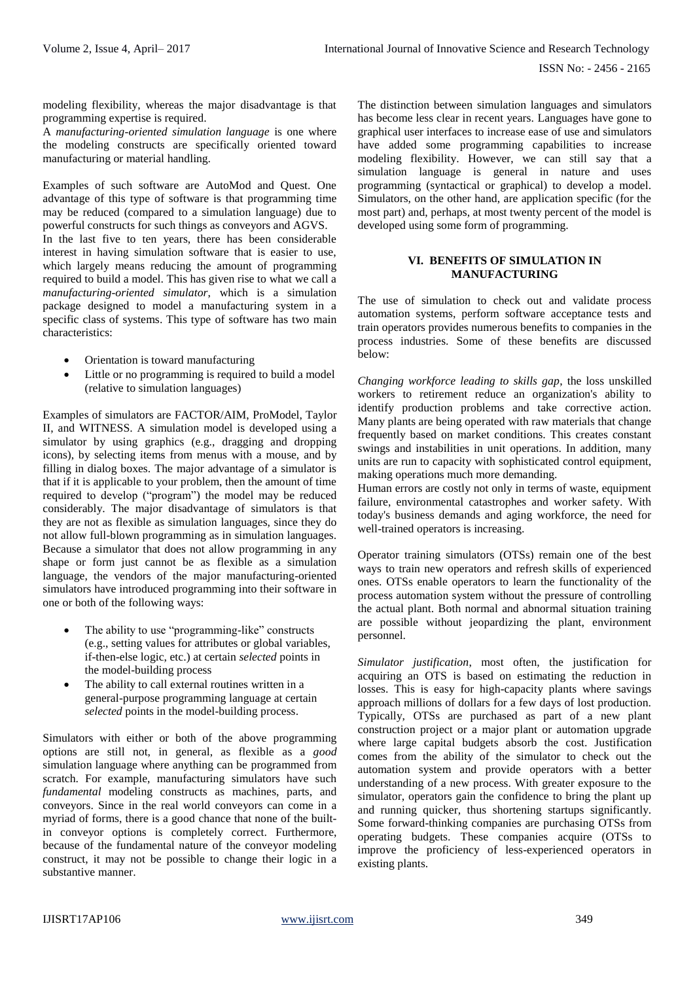modeling flexibility, whereas the major disadvantage is that programming expertise is required.

A *manufacturing-oriented simulation language* is one where the modeling constructs are specifically oriented toward manufacturing or material handling.

Examples of such software are AutoMod and Quest. One advantage of this type of software is that programming time may be reduced (compared to a simulation language) due to powerful constructs for such things as conveyors and AGVS.

In the last five to ten years, there has been considerable interest in having simulation software that is easier to use, which largely means reducing the amount of programming required to build a model. This has given rise to what we call a *manufacturing-oriented simulator*, which is a simulation package designed to model a manufacturing system in a specific class of systems. This type of software has two main characteristics:

- Orientation is toward manufacturing
- Little or no programming is required to build a model (relative to simulation languages)

Examples of simulators are FACTOR/AIM, ProModel, Taylor II, and WITNESS. A simulation model is developed using a simulator by using graphics (e.g., dragging and dropping icons), by selecting items from menus with a mouse, and by filling in dialog boxes. The major advantage of a simulator is that if it is applicable to your problem, then the amount of time required to develop ("program") the model may be reduced considerably. The major disadvantage of simulators is that they are not as flexible as simulation languages, since they do not allow full-blown programming as in simulation languages. Because a simulator that does not allow programming in any shape or form just cannot be as flexible as a simulation language, the vendors of the major manufacturing-oriented simulators have introduced programming into their software in one or both of the following ways:

- The ability to use "programming-like" constructs (e.g., setting values for attributes or global variables, if-then-else logic, etc.) at certain *selected* points in the model-building process
- The ability to call external routines written in a general-purpose programming language at certain *selected* points in the model-building process.

Simulators with either or both of the above programming options are still not, in general, as flexible as a *good*  simulation language where anything can be programmed from scratch. For example, manufacturing simulators have such *fundamental* modeling constructs as machines, parts, and conveyors. Since in the real world conveyors can come in a myriad of forms, there is a good chance that none of the builtin conveyor options is completely correct. Furthermore, because of the fundamental nature of the conveyor modeling construct, it may not be possible to change their logic in a substantive manner.

The distinction between simulation languages and simulators has become less clear in recent years. Languages have gone to graphical user interfaces to increase ease of use and simulators have added some programming capabilities to increase modeling flexibility. However, we can still say that a simulation language is general in nature and uses programming (syntactical or graphical) to develop a model. Simulators, on the other hand, are application specific (for the most part) and, perhaps, at most twenty percent of the model is developed using some form of programming.

### **VI. BENEFITS OF SIMULATION IN MANUFACTURING**

The use of simulation to check out and validate process automation systems, perform software acceptance tests and train operators provides numerous benefits to companies in the process industries. Some of these benefits are discussed below:

*Changing workforce leading to skills gap*, the loss unskilled workers to retirement reduce an organization's ability to identify production problems and take corrective action. Many plants are being operated with raw materials that change frequently based on market conditions. This creates constant swings and instabilities in unit operations. In addition, many units are run to capacity with sophisticated control equipment, making operations much more demanding.

Human errors are costly not only in terms of waste, equipment failure, environmental catastrophes and worker safety. With today's business demands and aging workforce, the need for well-trained operators is increasing.

Operator training simulators (OTSs) remain one of the best ways to train new operators and refresh skills of experienced ones. OTSs enable operators to learn the functionality of the process automation system without the pressure of controlling the actual plant. Both normal and abnormal situation training are possible without jeopardizing the plant, environment personnel.

*Simulator justification*, most often, the justification for acquiring an OTS is based on estimating the reduction in losses. This is easy for high-capacity plants where savings approach millions of dollars for a few days of lost production. Typically, OTSs are purchased as part of a new plant construction project or a major plant or automation upgrade where large capital budgets absorb the cost. Justification comes from the ability of the simulator to check out the automation system and provide operators with a better understanding of a new process. With greater exposure to the simulator, operators gain the confidence to bring the plant up and running quicker, thus shortening startups significantly. Some forward-thinking companies are purchasing OTSs from operating budgets. These companies acquire (OTSs to improve the proficiency of less-experienced operators in existing plants.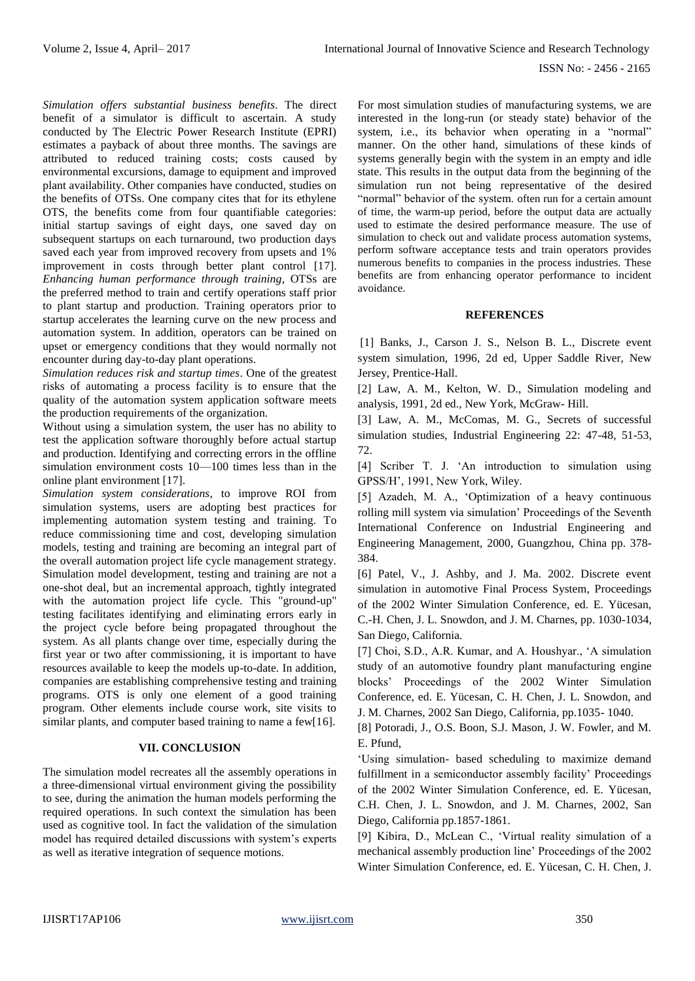*Simulation offers substantial business benefits*. The direct benefit of a simulator is difficult to ascertain. A study conducted by The Electric Power Research Institute (EPRI) estimates a payback of about three months. The savings are attributed to reduced training costs; costs caused by environmental excursions, damage to equipment and improved plant availability. Other companies have conducted, studies on the benefits of OTSs. One company cites that for its ethylene OTS, the benefits come from four quantifiable categories: initial startup savings of eight days, one saved day on subsequent startups on each turnaround, two production days saved each year from improved recovery from upsets and 1% improvement in costs through better plant control [17]. *Enhancing human performance through training*, OTSs are the preferred method to train and certify operations staff prior to plant startup and production. Training operators prior to startup accelerates the learning curve on the new process and automation system. In addition, operators can be trained on upset or emergency conditions that they would normally not encounter during day-to-day plant operations.

*Simulation reduces risk and startup times*. One of the greatest risks of automating a process facility is to ensure that the quality of the automation system application software meets the production requirements of the organization.

Without using a simulation system, the user has no ability to test the application software thoroughly before actual startup and production. Identifying and correcting errors in the offline simulation environment costs 10—100 times less than in the online plant environment [17].

*Simulation system considerations*, to improve ROI from simulation systems, users are adopting best practices for implementing automation system testing and training. To reduce commissioning time and cost, developing simulation models, testing and training are becoming an integral part of the overall automation project life cycle management strategy. Simulation model development, testing and training are not a one-shot deal, but an incremental approach, tightly integrated with the automation project life cycle. This "ground-up" testing facilitates identifying and eliminating errors early in the project cycle before being propagated throughout the system. As all plants change over time, especially during the first year or two after commissioning, it is important to have resources available to keep the models up-to-date. In addition, companies are establishing comprehensive testing and training programs. OTS is only one element of a good training program. Other elements include course work, site visits to similar plants, and computer based training to name a few[16].

## **VII. CONCLUSION**

The simulation model recreates all the assembly operations in a three-dimensional virtual environment giving the possibility to see, during the animation the human models performing the required operations. In such context the simulation has been used as cognitive tool. In fact the validation of the simulation model has required detailed discussions with system's experts as well as iterative integration of sequence motions.

For most simulation studies of manufacturing systems, we are interested in the long-run (or steady state) behavior of the system, i.e., its behavior when operating in a "normal" manner. On the other hand, simulations of these kinds of systems generally begin with the system in an empty and idle state. This results in the output data from the beginning of the simulation run not being representative of the desired "normal" behavior of the system. often run for a certain amount of time, the warm-up period, before the output data are actually used to estimate the desired performance measure. The use of simulation to check out and validate process automation systems, perform software acceptance tests and train operators provides numerous benefits to companies in the process industries. These benefits are from enhancing operator performance to incident avoidance.

#### **REFERENCES**

[1] Banks, J., Carson J. S., Nelson B. L., Discrete event system simulation, 1996, 2d ed, Upper Saddle River, New Jersey, Prentice-Hall.

[2] Law, A. M., Kelton, W. D., Simulation modeling and analysis, 1991, 2d ed., New York, McGraw- Hill.

[3] Law, A. M., McComas, M. G., Secrets of successful simulation studies, Industrial Engineering 22: 47-48, 51-53, 72.

[4] Scriber T. J. 'An introduction to simulation using GPSS/H', 1991, New York, Wiley.

[5] Azadeh, M. A., 'Optimization of a heavy continuous rolling mill system via simulation' Proceedings of the Seventh International Conference on Industrial Engineering and Engineering Management, 2000, Guangzhou, China pp. 378- 384.

[6] Patel, V., J. Ashby, and J. Ma. 2002. Discrete event simulation in automotive Final Process System, Proceedings of the 2002 Winter Simulation Conference, ed. E. Yücesan, C.-H. Chen, J. L. Snowdon, and J. M. Charnes, pp. 1030-1034, San Diego, California.

[7] Choi, S.D., A.R. Kumar, and A. Houshyar., 'A simulation study of an automotive foundry plant manufacturing engine blocks' Proceedings of the 2002 Winter Simulation Conference, ed. E. Yücesan, C. H. Chen, J. L. Snowdon, and J. M. Charnes, 2002 San Diego, California, pp.1035- 1040.

[8] Potoradi, J., O.S. Boon, S.J. Mason, J. W. Fowler, and M. E. Pfund,

'Using simulation- based scheduling to maximize demand fulfillment in a semiconductor assembly facility' Proceedings of the 2002 Winter Simulation Conference, ed. E. Yücesan, C.H. Chen, J. L. Snowdon, and J. M. Charnes, 2002, San Diego, California pp.1857-1861.

[9] Kibira, D., McLean C., 'Virtual reality simulation of a mechanical assembly production line' Proceedings of the 2002 Winter Simulation Conference, ed. E. Yücesan, C. H. Chen, J.